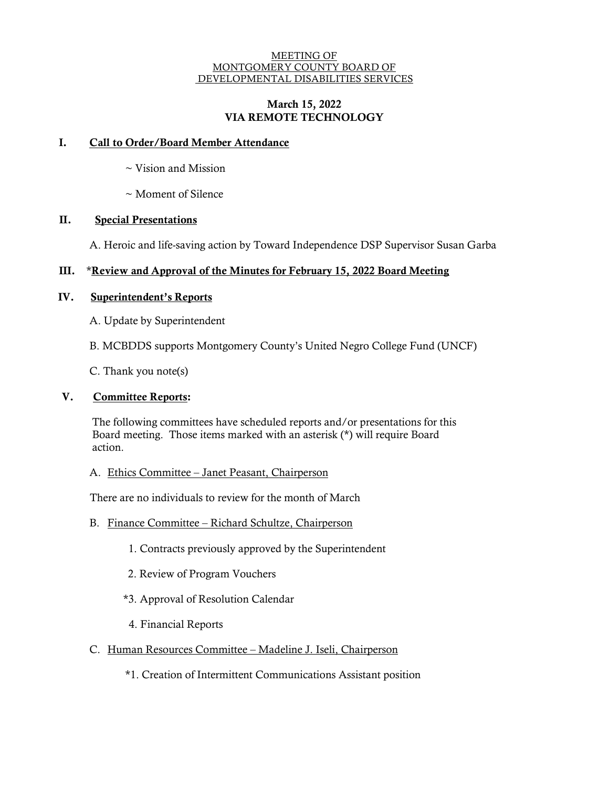#### MEETING OF MONTGOMERY COUNTY BOARD OF DEVELOPMENTAL DISABILITIES SERVICES

## March 15, 2022 VIA REMOTE TECHNOLOGY

## I. Call to Order/Board Member Attendance

- ~ Vision and Mission
- ~ Moment of Silence

# II. Special Presentations

A. Heroic and life-saving action by Toward Independence DSP Supervisor Susan Garba

# III. \*Review and Approval of the Minutes for February 15, 2022 Board Meeting

## IV. Superintendent's Reports

A. Update by Superintendent

B. MCBDDS supports Montgomery County's United Negro College Fund (UNCF)

C. Thank you note(s)

#### V. Committee Reports:

The following committees have scheduled reports and/or presentations for this Board meeting. Those items marked with an asterisk (\*) will require Board action.

## A. Ethics Committee – Janet Peasant, Chairperson

There are no individuals to review for the month of March

## B. Finance Committee – Richard Schultze, Chairperson

- 1. Contracts previously approved by the Superintendent
- 2. Review of Program Vouchers
- \*3. Approval of Resolution Calendar
- 4. Financial Reports
- C. Human Resources Committee Madeline J. Iseli, Chairperson

\*1. Creation of Intermittent Communications Assistant position